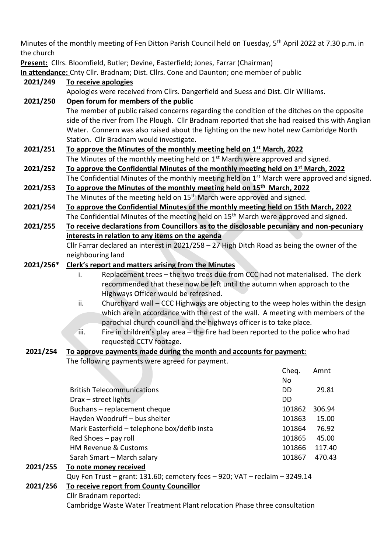Minutes of the monthly meeting of Fen Ditton Parish Council held on Tuesday, 5<sup>th</sup> April 2022 at 7.30 p.m. in the church

**Present:** Cllrs. Bloomfield, Butler; Devine, Easterfield; Jones, Farrar (Chairman)

**In attendance:** Cnty Cllr. Bradnam; Dist. Cllrs. Cone and Daunton; one member of public

| 2021/249  | To receive apologies                                                                                                                                    |           |        |  |  |
|-----------|---------------------------------------------------------------------------------------------------------------------------------------------------------|-----------|--------|--|--|
|           | Apologies were received from Cllrs. Dangerfield and Suess and Dist. Cllr Williams.                                                                      |           |        |  |  |
| 2021/250  | Open forum for members of the public                                                                                                                    |           |        |  |  |
|           | The member of public raised concerns regarding the condition of the ditches on the opposite                                                             |           |        |  |  |
|           | side of the river from The Plough. Cllr Bradnam reported that she had reaised this with Anglian                                                         |           |        |  |  |
|           | Water. Connern was also raised about the lighting on the new hotel new Cambridge North                                                                  |           |        |  |  |
|           | Station. Cllr Bradnam would investigate.                                                                                                                |           |        |  |  |
| 2021/251  | To approve the Minutes of the monthly meeting held on 1 <sup>st</sup> March, 2022                                                                       |           |        |  |  |
|           | The Minutes of the monthly meeting held on 1 <sup>st</sup> March were approved and signed.                                                              |           |        |  |  |
| 2021/252  | To approve the Confidential Minutes of the monthly meeting held on 1 <sup>st</sup> March, 2022                                                          |           |        |  |  |
|           | The Confidential Minutes of the monthly meeting held on 1 <sup>st</sup> March were approved and signed.                                                 |           |        |  |  |
| 2021/253  | To approve the Minutes of the monthly meeting held on 15 <sup>th</sup> March, 2022                                                                      |           |        |  |  |
|           | The Minutes of the meeting held on 15 <sup>th</sup> March were approved and signed.                                                                     |           |        |  |  |
| 2021/254  | To approve the Confidential Minutes of the monthly meeting held on 15th March, 2022                                                                     |           |        |  |  |
|           | The Confidential Minutes of the meeting held on 15 <sup>th</sup> March were approved and signed.                                                        |           |        |  |  |
| 2021/255  | To receive declarations from Councillors as to the disclosable pecuniary and non-pecuniary                                                              |           |        |  |  |
|           | interests in relation to any items on the agenda                                                                                                        |           |        |  |  |
|           | Cllr Farrar declared an interest in $2021/258 - 27$ High Ditch Road as being the owner of the                                                           |           |        |  |  |
|           | neighbouring land                                                                                                                                       |           |        |  |  |
| 2021/256* | <b>Clerk's report and matters arising from the Minutes</b>                                                                                              |           |        |  |  |
|           | Replacement trees - the two trees due from CCC had not materialised. The clerk<br>i.                                                                    |           |        |  |  |
|           | recommended that these now be left until the autumn when approach to the                                                                                |           |        |  |  |
|           | Highways Officer would be refreshed.                                                                                                                    |           |        |  |  |
|           | ii.<br>Churchyard wall – CCC Highways are objecting to the weep holes within the design                                                                 |           |        |  |  |
|           | which are in accordance with the rest of the wall. A meeting with members of the<br>parochial church council and the highways officer is to take place. |           |        |  |  |
|           | iii.<br>Fire in children's play area - the fire had been reported to the police who had                                                                 |           |        |  |  |
|           | requested CCTV footage.                                                                                                                                 |           |        |  |  |
| 2021/254  | To approve payments made during the month and accounts for payment:                                                                                     |           |        |  |  |
|           | The following payments were agreed for payment.                                                                                                         |           |        |  |  |
|           |                                                                                                                                                         | Cheq.     | Amnt   |  |  |
|           |                                                                                                                                                         | No        |        |  |  |
|           | <b>British Telecommunications</b>                                                                                                                       | DD        | 29.81  |  |  |
|           | Drax - street lights                                                                                                                                    | <b>DD</b> |        |  |  |
|           | Buchans - replacement cheque                                                                                                                            | 101862    | 306.94 |  |  |
|           | Hayden Woodruff - bus shelter                                                                                                                           | 101863    | 15.00  |  |  |
|           | Mark Easterfield - telephone box/defib insta                                                                                                            | 101864    | 76.92  |  |  |
|           | Red Shoes - pay roll                                                                                                                                    | 101865    | 45.00  |  |  |
|           | HM Revenue & Customs                                                                                                                                    | 101866    | 117.40 |  |  |
|           | Sarah Smart - March salary                                                                                                                              | 101867    | 470.43 |  |  |
|           | 2021/255 To note money received                                                                                                                         |           |        |  |  |

### **2021/255 To note money received**

Quy Fen Trust – grant: 131.60; cemetery fees – 920; VAT – reclaim – 3249.14

# **2021/256 To receive report from County Councillor**

Cllr Bradnam reported:

Cambridge Waste Water Treatment Plant relocation Phase three consultation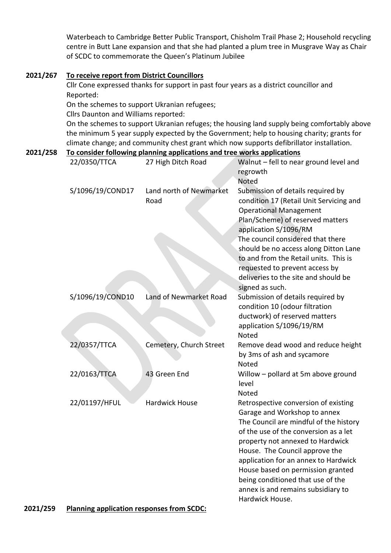Waterbeach to Cambridge Better Public Transport, Chisholm Trail Phase 2; Household recycling centre in Butt Lane expansion and that she had planted a plum tree in Musgrave Way as Chair of SCDC to commemorate the Queen's Platinum Jubilee

## **2021/267 To receive report from District Councillors**

Cllr Cone expressed thanks for support in past four years as a district councillor and Reported:

On the schemes to support Ukranian refugees;

Cllrs Daunton and Williams reported:

On the schemes to support Ukranian refuges; the housing land supply being comfortably above the minimum 5 year supply expected by the Government; help to housing charity; grants for climate change; and community chest grant which now supports defibrillator installation.

### **2021/258 To consider following planning applications and tree works applications**

| 22/0350/TTCA     | 27 High Ditch Road              | Walnut - fell to near ground level and<br>regrowth<br>Noted                                                                                                                                                                                                                                                                                                                                              |
|------------------|---------------------------------|----------------------------------------------------------------------------------------------------------------------------------------------------------------------------------------------------------------------------------------------------------------------------------------------------------------------------------------------------------------------------------------------------------|
| S/1096/19/COND17 | Land north of Newmarket<br>Road | Submission of details required by<br>condition 17 (Retail Unit Servicing and<br><b>Operational Management</b><br>Plan/Scheme) of reserved matters<br>application S/1096/RM<br>The council considered that there<br>should be no access along Ditton Lane<br>to and from the Retail units. This is<br>requested to prevent access by<br>deliveries to the site and should be<br>signed as such.           |
| S/1096/19/COND10 | Land of Newmarket Road          | Submission of details required by<br>condition 10 (odour filtration<br>ductwork) of reserved matters<br>application S/1096/19/RM<br>Noted                                                                                                                                                                                                                                                                |
| 22/0357/TTCA     | Cemetery, Church Street         | Remove dead wood and reduce height<br>by 3ms of ash and sycamore<br>Noted                                                                                                                                                                                                                                                                                                                                |
| 22/0163/TTCA     | 43 Green End                    | Willow - pollard at 5m above ground<br>level<br>Noted                                                                                                                                                                                                                                                                                                                                                    |
| 22/01197/HFUL    | <b>Hardwick House</b>           | Retrospective conversion of existing<br>Garage and Workshop to annex<br>The Council are mindful of the history<br>of the use of the conversion as a let<br>property not annexed to Hardwick<br>House. The Council approve the<br>application for an annex to Hardwick<br>House based on permission granted<br>being conditioned that use of the<br>annex is and remains subsidiary to<br>Hardwick House. |

## **2021/259 Planning application responses from SCDC:**